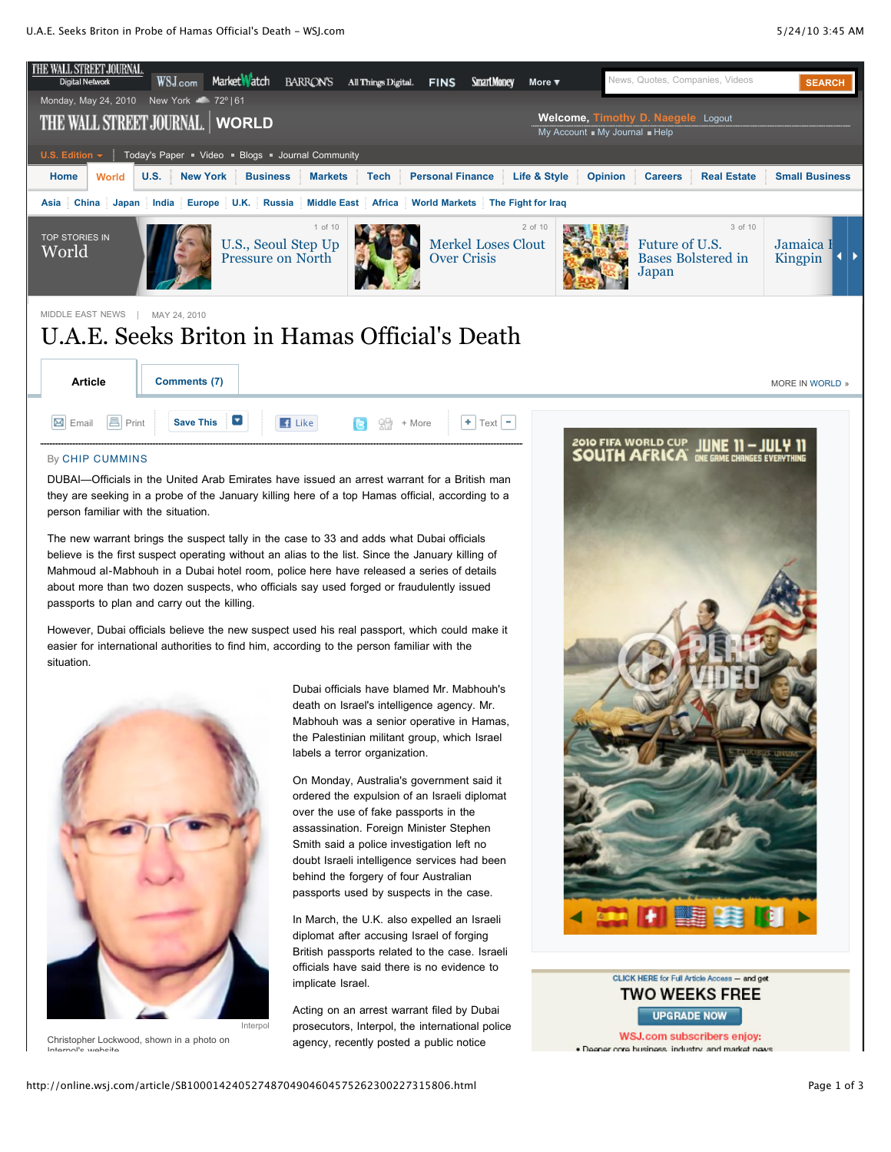

However, Dubai officials believe the new suspect used his real passport, which could make it easier for international authorities to find him, according to the person familiar with the situation.



passports to plan and carry out the killing.

Christopher Lockwood, shown in a photo on Internal's

Dubai officials have blamed Mr. Mabhouh's death on Israel's intelligence agency. Mr. Mabhouh was a senior operative in Hamas, the Palestinian militant group, which Israel labels a terror organization.

On Monday, Australia's government said it ordered the expulsion of an Israeli diplomat over the use of fake passports in the assassination. Foreign Minister Stephen Smith said a police investigation left no doubt Israeli intelligence services had been behind the forgery of four Australian passports used by suspects in the case.

In March, the U.K. also expelled an Israeli diplomat after accusing Israel of forging British passports related to the case. Israeli officials have said there is no evidence to implicate Israel.

Acting on an arrest warrant filed by Dubai prosecutors, Interpol, the international police agency, recently posted a public notice





**WSJ.com subscribers enjoy:** · Deeper core business, industry, and market news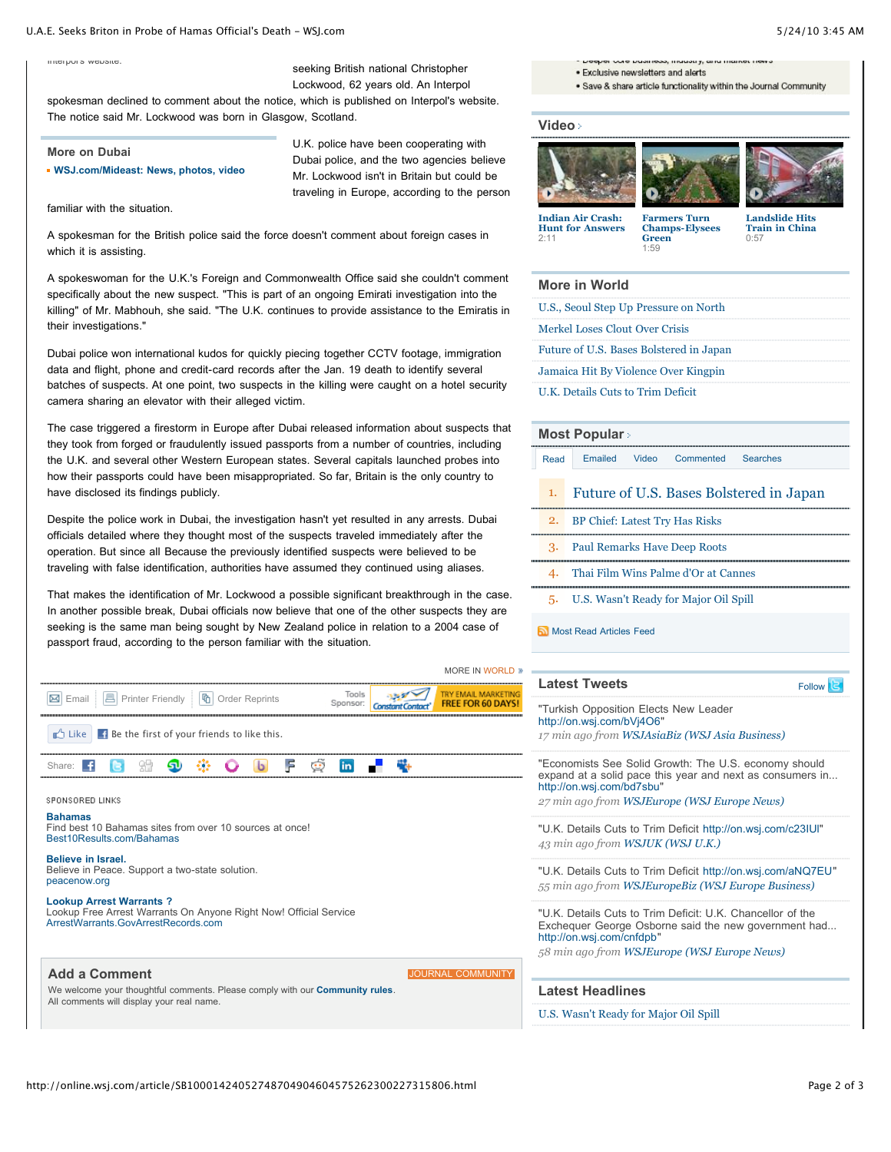#### U.A.E. Seeks Briton in Probe of Hamas Official's Death - WSJ.com 5/24/10 3:45 AM

Interpol's website.

seeking British national Christopher Lockwood, 62 years old. An Interpol

spokesman declined to comment about the notice, which is published on Interpol's website. The notice said Mr. Lockwood was born in Glasgow, Scotland.

#### **More on Dubai**

**[WSJ.com/Mideast: News, photos, video](http://online.wsj.com/public/page/mideast.html)**

U.K. police have been cooperating with Dubai police, and the two agencies believe Mr. Lockwood isn't in Britain but could be traveling in Europe, according to the person

familiar with the situation.

A spokesman for the British police said the force doesn't comment about foreign cases in which it is assisting.

A spokeswoman for the U.K.'s Foreign and Commonwealth Office said she couldn't comment specifically about the new suspect. "This is part of an ongoing Emirati investigation into the killing" of Mr. Mabhouh, she said. "The U.K. continues to provide assistance to the Emiratis in their investigations."

Dubai police won international kudos for quickly piecing together CCTV footage, immigration data and flight, phone and credit-card records after the Jan. 19 death to identify several batches of suspects. At one point, two suspects in the killing were caught on a hotel security camera sharing an elevator with their alleged victim.

The case triggered a firestorm in Europe after Dubai released information about suspects that they took from forged or fraudulently issued passports from a number of countries, including the U.K. and several other Western European states. Several capitals launched probes into how their passports could have been misappropriated. So far, Britain is the only country to have disclosed its findings publicly.

Despite the police work in Dubai, the investigation hasn't yet resulted in any arrests. Dubai officials detailed where they thought most of the suspects traveled immediately after the operation. But since all Because the previously identified suspects were believed to be traveling with false identification, authorities have assumed they continued using aliases.

That makes the identification of Mr. Lockwood a possible significant breakthrough in the case. In another possible break, Dubai officials now believe that one of the other suspects they are seeking is the same man being sought by New Zealand police in relation to a 2004 case of passport fraud, according to the person familiar with the situation.

|                                                                                                                                                           |                   | MORE IN WORLD           |
|-----------------------------------------------------------------------------------------------------------------------------------------------------------|-------------------|-------------------------|
| <b>⊠</b> Email   B   Printer Friendly   h Order Reprints                                                                                                  | Tools<br>Soonsor: | TRY EMAIL MARKETIN      |
| <b>D</b> Like<br><b>f</b> Be the first of your friends to like this.                                                                                      |                   |                         |
| Share:                                                                                                                                                    | <b>in</b>         |                         |
| <b>SPONSORED LINKS</b>                                                                                                                                    |                   |                         |
| <b>Bahamas</b><br>Find best 10 Bahamas sites from over 10 sources at once!<br>Best10Results.com/Bahamas                                                   |                   |                         |
| Believe in Israel.<br>Believe in Peace. Support a two-state solution.<br>peacenow.org                                                                     |                   |                         |
| <b>Lookup Arrest Warrants?</b><br>Lookup Free Arrest Warrants On Anyone Right Now! Official Service<br>ArrestWarrants GovArrestRecords com                |                   |                         |
| <b>Add a Comment</b><br>We welcome your thoughtful comments. Please comply with our <b>Community rules</b> .<br>All comments will display your real name. |                   | <b>JOURNAL COMMUNIT</b> |

· Exclusive newsletters and alerts

- . Save & share article functionality within the Journal Community
- **[Video](http://online.wsj.com/video-centerworld-news.html) [Indian Air Crash:](http://online.wsj.com/video/indian-air-crash-hunt-for-answers/AFE0F0A9-306A-404D-A60E-3B27F5C08576.html?mod=WSJ_Article_Videocarousel_1) Farmers Turn [Landslide Hits](http://online.wsj.com/video/landslide-hits-train-in-china/0BDAA4A7-93EA-41DC-A472-80249535A898.html?mod=WSJ_Article_Videocarousel_3)**

**Hunt for Answers**  $2:1'$ 

**[Champs-Elysees](http://online.wsj.com/video/farmers-turn-champs-elysees-green/3BE40967-0B46-45E1-BF3F-325132641AB7.html?mod=WSJ_Article_Videocarousel_2) Train in China**  $0:57$ 

## **More in World**

|  |  | U.S., Seoul Step Up Pressure on North |  |
|--|--|---------------------------------------|--|
|  |  |                                       |  |

**Green** 1:59

[Future of U.S. Bases Bolstered in Japan](http://online.wsj.com/article/SB10001424052748704546304575261332428348428.html?mod=WSJ_article_MoreIn)

[Jamaica Hit By Violence Over Kingpin](http://online.wsj.com/article/SB10001424052748704226004575263091352118462.html?mod=WSJ_article_MoreIn)

[U.K. Details Cuts to Trim Deficit](http://online.wsj.com/article/SB10001424052748704113504575263892909567622.html?mod=WSJ_article_MoreIn)

[Merkel Loses Clout Over Crisis](http://online.wsj.com/article/SB10001424052748704904604575262802823783996.html?mod=WSJ_article_MoreIn)

## **[Most Popular](http://online.wsj.com/public/page/most_popular.html)** [Read](http://online.wsj.com/article/SB10001424052748704904604575262300227315806.html#mostPopular_mostRead) [Emailed](http://online.wsj.com/article/SB10001424052748704904604575262300227315806.html#mostPopular_mostEmailed) [Video](http://online.wsj.com/article/SB10001424052748704904604575262300227315806.html#mostPopular_mostPopularVideo) [Commented](http://online.wsj.com/article/SB10001424052748704904604575262300227315806.html#mostPopular_mostCommented) [Searches](http://online.wsj.com/article/SB10001424052748704904604575262300227315806.html#mostPopular_mostSearched)

| Future of U.S. Bases Bolstered in Japan |  |  |
|-----------------------------------------|--|--|
|                                         |  |  |

- 2. [BP Chief: Latest Try Has Risks](http://online.wsj.com/article/SB10001424052748704546304575260641893421742.html?mod=WSJ_hp_mostpop_read)
- 3. [Paul Remarks Have Deep Roots](http://online.wsj.com/article/SB10001424052748704167704575258873204669074.html?mod=WSJ_hp_mostpop_read)
- 4. [Thai Film Wins Palme d'Or at Cannes](http://online.wsj.com/article/SB10001424052748704226004575262682327597388.html?mod=WSJ_hp_mostpop_read)
- 5. [U.S. Wasn't Ready for Major Oil Spill](http://online.wsj.com/article/SB10001424052748704904604575262703867624266.html?mod=WSJ_hp_mostpop_read)

[Most Read Articles Feed](http://online.wsj.com/rss?mod=fpp_rss)

| <b>Latest Tweets</b>                                                                                                                                                                           | <b>Follow</b> |
|------------------------------------------------------------------------------------------------------------------------------------------------------------------------------------------------|---------------|
| "Turkish Opposition Elects New Leader<br>http://on.wsj.com/bVj4O6"<br>17 min ago from WSJAsiaBiz (WSJ Asia Business)                                                                           |               |
| "Economists See Solid Growth: The U.S. economy should<br>expand at a solid pace this year and next as consumers in<br>http://on.wsj.com/bd7sbu"<br>27 min ago from WSJEurope (WSJ Europe News) |               |
| "U.K. Details Cuts to Trim Deficit http://on.wsj.com/c23IUI"<br>43 min ago from <b>WSJUK (WSJ U.K.)</b>                                                                                        |               |
| "U.K. Details Cuts to Trim Deficit http://on.wsj.com/aNQ7EU"<br>55 min ago from WSJEuropeBiz (WSJ Europe Business)                                                                             |               |
| "U.K. Details Cuts to Trim Deficit: U.K. Chancellor of the<br>Exchequer George Osborne said the new government had<br>http://on.wsj.com/cnfdpb"<br>58 min ago from WSJEurope (WSJ Europe News) |               |
| <b>Latest Headlines</b>                                                                                                                                                                        |               |
| U.S. Wasn't Ready for Major Oil Spill                                                                                                                                                          |               |